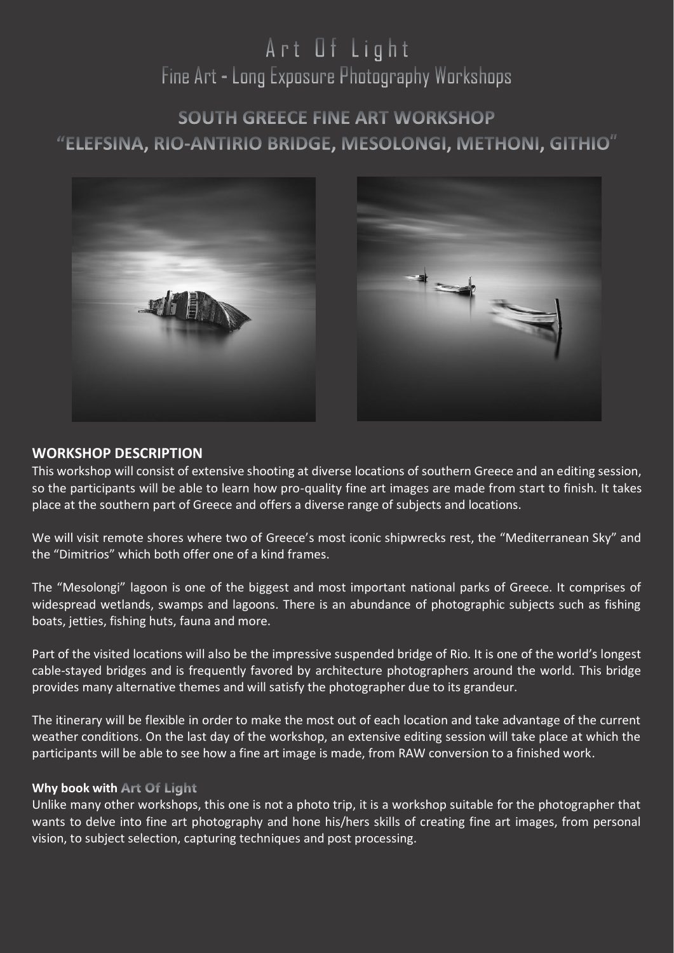# Art Of Light Fine Art - Long Exposure Photography Workshops

# **SOUTH GREECE FINE ART WORKSHOP** "ELEFSINA, RIO-ANTIRIO BRIDGE, MESOLONGI, METHONI, GITHIO"



# **WORKSHOP DESCRIPTION**

This workshop will consist of extensive shooting at diverse locations of southern Greece and an editing session, so the participants will be able to learn how pro-quality fine art images are made from start to finish. It takes place at the southern part of Greece and offers a diverse range of subjects and locations.

We will visit remote shores where two of Greece's most iconic shipwrecks rest, the "Mediterranean Sky" and the "Dimitrios" which both offer one of a kind frames.

The "Mesolongi" lagoon is one of the biggest and most important national parks of Greece. It comprises of widespread wetlands, swamps and lagoons. There is an abundance of photographic subjects such as fishing boats, jetties, fishing huts, fauna and more.

Part of the visited locations will also be the impressive suspended bridge of Rio. It is one of the world's longest cable-stayed bridges and is frequently favored by architecture photographers around the world. This bridge provides many alternative themes and will satisfy the photographer due to its grandeur.

The itinerary will be flexible in order to make the most out of each location and take advantage of the current weather conditions. On the last day of the workshop, an extensive editing session will take place at which the participants will be able to see how a fine art image is made, from RAW conversion to a finished work.

#### **Why book with Art Of Light**

Unlike many other workshops, this one is not a photo trip, it is a workshop suitable for the photographer that wants to delve into fine art photography and hone his/hers skills of creating fine art images, from personal vision, to subject selection, capturing techniques and post processing.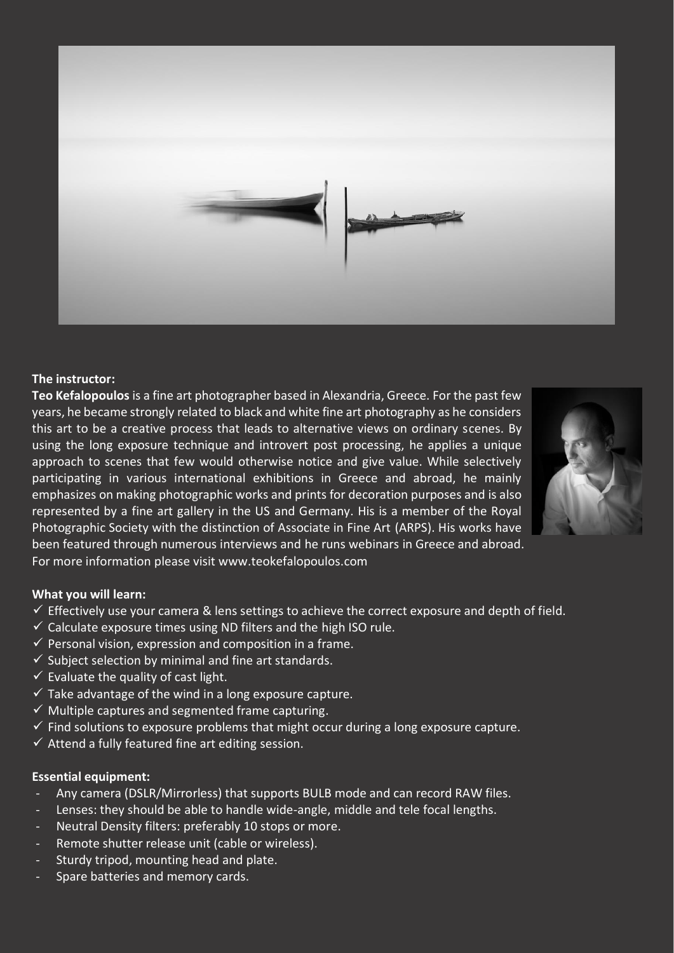

#### **The instructor:**

**Teo Kefalopoulos** is a fine art photographer based in Alexandria, Greece. For the past few years, he became strongly related to black and white fine art photography as he considers this art to be a creative process that leads to alternative views on ordinary scenes. By using the long exposure technique and introvert post processing, he applies a unique approach to scenes that few would otherwise notice and give value. While selectively participating in various international exhibitions in Greece and abroad, he mainly emphasizes on making photographic works and prints for decoration purposes and is also represented by a fine art gallery in the US and Germany. His is a member of the Royal Photographic Society with the distinction of Associate in Fine Art (ARPS). His works have been featured through numerous interviews and he runs webinars in Greece and abroad. For more information please visit [www.teokefalopoulos.com](http://www.teokefalopoulos.com/)



#### **What you will learn:**

- $\checkmark$  Effectively use your camera & lens settings to achieve the correct exposure and depth of field.
- $\checkmark$  Calculate exposure times using ND filters and the high ISO rule.
- $\checkmark$  Personal vision, expression and composition in a frame.
- $\checkmark$  Subject selection by minimal and fine art standards.
- $\checkmark$  Evaluate the quality of cast light.
- $\checkmark$  Take advantage of the wind in a long exposure capture.
- $\checkmark$  Multiple captures and segmented frame capturing.
- $\checkmark$  Find solutions to exposure problems that might occur during a long exposure capture.
- $\checkmark$  Attend a fully featured fine art editing session.

### **Essential equipment:**

- Any camera (DSLR/Mirrorless) that supports BULB mode and can record RAW files.
- Lenses: they should be able to handle wide-angle, middle and tele focal lengths.
- Neutral Density filters: preferably 10 stops or more.
- Remote shutter release unit (cable or wireless).
- Sturdy tripod, mounting head and plate.
- Spare batteries and memory cards.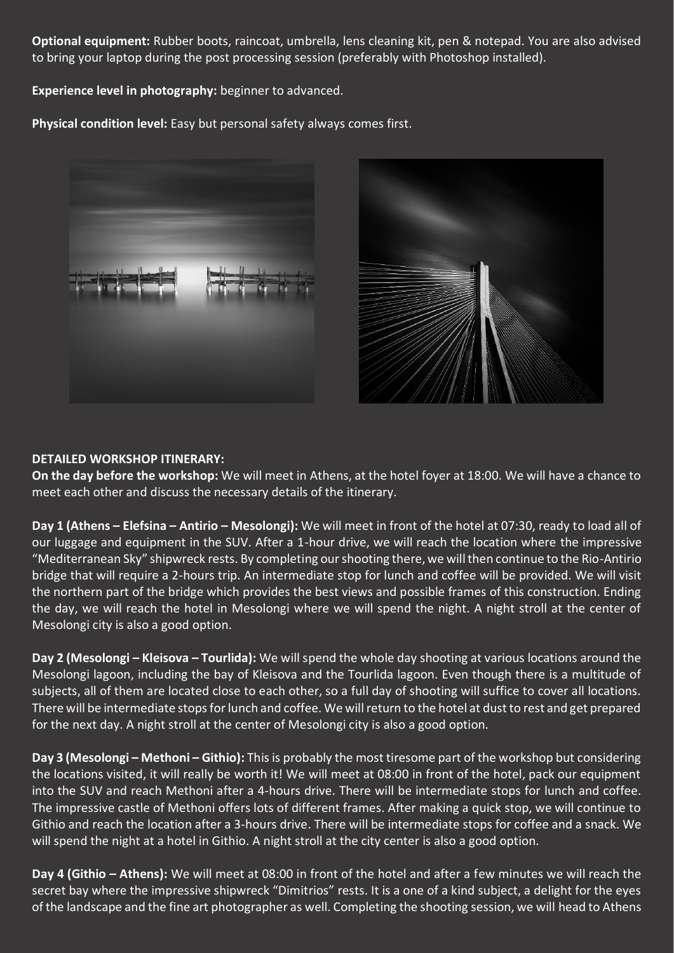**Optional equipment:** Rubber boots, raincoat, umbrella, lens cleaning kit, pen & notepad. You are also advised to bring your laptop during the post processing session (preferably with Photoshop installed).

**Experience level in photography:** beginner to advanced.

**Physical condition level:** Easy but personal safety always comes first.





### **DETAILED WORKSHOP ITINERARY:**

**On the day before the workshop:** We will meet in Athens, at the hotel foyer at 18:00. We will have a chance to meet each other and discuss the necessary details of the itinerary.

**Day 1 (Athens – Elefsina – Antirio – Mesolongi):** We will meet in front of the hotel at 07:30, ready to load all of our luggage and equipment in the SUV. After a 1-hour drive, we will reach the location where the impressive "Mediterranean Sky" shipwreck rests. By completing our shooting there, we will then continue to the Rio-Antirio bridge that will require a 2-hours trip. An intermediate stop for lunch and coffee will be provided. We will visit the northern part of the bridge which provides the best views and possible frames of this construction. Ending the day, we will reach the hotel in Mesolongi where we will spend the night. A night stroll at the center of Mesolongi city is also a good option.

**Day 2 (Mesolongi – Kleisova – Tourlida):** We will spend the whole day shooting at various locations around the Mesolongi lagoon, including the bay of Kleisova and the Tourlida lagoon. Even though there is a multitude of subjects, all of them are located close to each other, so a full day of shooting will suffice to cover all locations. There will be intermediate stops for lunch and coffee. We will return to the hotel at dust to rest and get prepared for the next day. A night stroll at the center of Mesolongi city is also a good option.

**Day 3 (Mesolongi – Methoni – Githio):** This is probably the most tiresome part of the workshop but considering the locations visited, it will really be worth it! We will meet at 08:00 in front of the hotel, pack our equipment into the SUV and reach Methoni after a 4-hours drive. There will be intermediate stops for lunch and coffee. The impressive castle of Methoni offers lots of different frames. After making a quick stop, we will continue to Githio and reach the location after a 3-hours drive. There will be intermediate stops for coffee and a snack. We will spend the night at a hotel in Githio. A night stroll at the city center is also a good option.

**Day 4 (Githio – Athens):** We will meet at 08:00 in front of the hotel and after a few minutes we will reach the secret bay where the impressive shipwreck "Dimitrios" rests. It is a one of a kind subject, a delight for the eyes of the landscape and the fine art photographer as well. Completing the shooting session, we will head to Athens